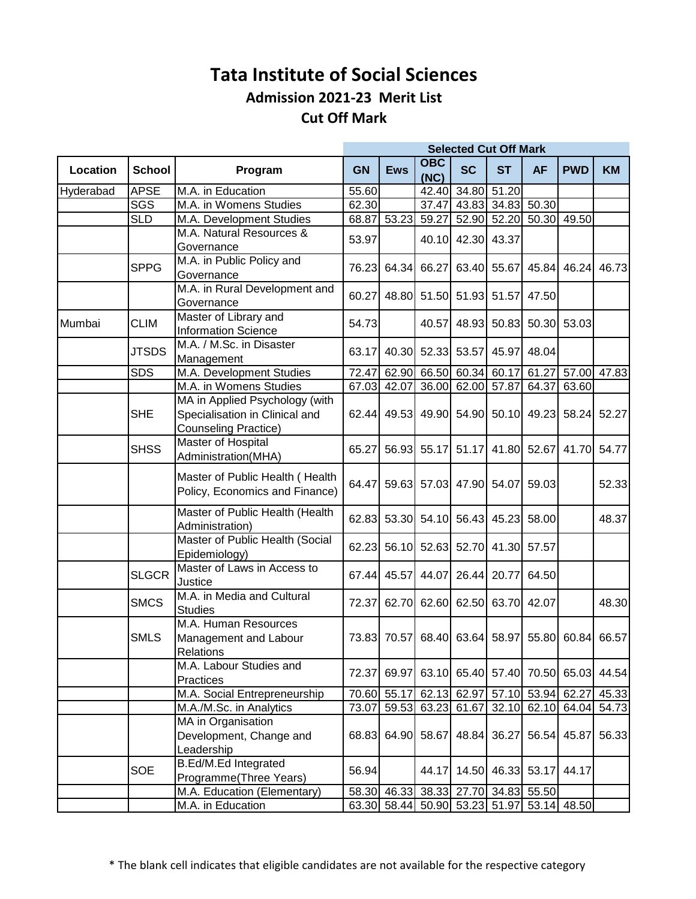## **Tata Institute of Social Sciences Admission 2021-23 Merit List Cut Off Mark**

|           |               |                                                                                                 | <b>Selected Cut Off Mark</b> |             |                    |                                     |             |           |                                           |                    |
|-----------|---------------|-------------------------------------------------------------------------------------------------|------------------------------|-------------|--------------------|-------------------------------------|-------------|-----------|-------------------------------------------|--------------------|
| Location  | <b>School</b> | Program                                                                                         | <b>GN</b>                    | <b>Ews</b>  | <b>OBC</b><br>(NC) | <b>SC</b>                           | <b>ST</b>   | <b>AF</b> | <b>PWD</b>                                | <b>KM</b>          |
| Hyderabad | <b>APSE</b>   | M.A. in Education                                                                               | 55.60                        |             |                    | 42.40 34.80                         | 51.20       |           |                                           |                    |
|           | SGS           | M.A. in Womens Studies                                                                          | 62.30                        |             |                    | 37.47 43.83 34.83 50.30             |             |           |                                           |                    |
|           | <b>SLD</b>    | M.A. Development Studies                                                                        | 68.87                        | 53.23       | 59.27              |                                     |             |           | 52.90 52.20 50.30 49.50                   |                    |
|           |               | M.A. Natural Resources &<br>Governance                                                          | 53.97                        |             | 40.10              | 42.30                               | 43.37       |           |                                           |                    |
|           | <b>SPPG</b>   | M.A. in Public Policy and<br>Governance                                                         | 76.23                        | 64.34       | 66.27              | 63.40                               | 55.67       | 45.84     | 46.24                                     | 46.73              |
|           |               | M.A. in Rural Development and<br>Governance                                                     | 60.27                        | 48.80       |                    | 51.50 51.93                         | 51.57       | 47.50     |                                           |                    |
| Mumbai    | <b>CLIM</b>   | Master of Library and<br><b>Information Science</b>                                             | 54.73                        |             | 40.57              | 48.93                               | 50.83       |           | 50.30 53.03                               |                    |
|           | <b>JTSDS</b>  | M.A. / M.Sc. in Disaster<br>Management                                                          | 63.17                        | 40.30       | 52.33              | 53.57                               | 45.97       | 48.04     |                                           |                    |
|           | <b>SDS</b>    | M.A. Development Studies                                                                        | 72.47                        | 62.90       |                    | 66.50 60.34 60.17                   |             | 61.27     |                                           | 57.00 47.83        |
|           |               | M.A. in Womens Studies                                                                          | 67.03                        | 42.07       |                    | 36.00 62.00                         | 57.87       | 64.37     | 63.60                                     |                    |
|           | <b>SHE</b>    | MA in Applied Psychology (with<br>Specialisation in Clinical and<br><b>Counseling Practice)</b> | 62.44                        |             |                    | 49.53 49.90 54.90 50.10 49.23       |             |           |                                           | 58.24 52.27        |
|           | <b>SHSS</b>   | <b>Master of Hospital</b><br>Administration(MHA)                                                | 65.27                        |             |                    | 56.93 55.17 51.17 41.80 52.67       |             |           |                                           | 41.70 54.77        |
|           |               | Master of Public Health (Health<br>Policy, Economics and Finance)                               | 64.47                        |             | 59.63 57.03        | 47.90                               | 54.07       | 59.03     |                                           | 52.33              |
|           |               | Master of Public Health (Health<br>Administration)                                              | 62.83                        | 53.30       |                    | 54.10 56.43                         | 45.23       | 58.00     |                                           | 48.37              |
|           |               | Master of Public Health (Social<br>Epidemiology)                                                | 62.23                        | 56.10       | 52.63              | 52.70                               | 41.30       | 57.57     |                                           |                    |
|           | <b>SLGCR</b>  | Master of Laws in Access to<br>Justice                                                          | 67.44                        | 45.57       | 44.07              | 26.44                               | 20.77       | 64.50     |                                           |                    |
|           | <b>SMCS</b>   | M.A. in Media and Cultural<br><b>Studies</b>                                                    | 72.37                        | 62.70       |                    | 62.60 62.50                         | 63.70       | 42.07     |                                           | 48.30              |
|           | <b>SMLS</b>   | M.A. Human Resources<br>Management and Labour<br><b>Relations</b>                               | 73.83                        | 70.57       |                    | 68.40 63.64 58.97                   |             |           | 55.80 60.84 66.57                         |                    |
|           |               | M.A. Labour Studies and<br>Practices                                                            | 72.37                        |             |                    | 69.97 63.10 65.40                   |             |           | 57.40 70.50 65.03 44.54                   |                    |
|           |               | M.A. Social Entrepreneurship                                                                    |                              | 70.60 55.17 |                    | 62.13 62.97                         | 57.10       |           | 53.94 62.27                               | $\overline{45.33}$ |
|           |               | M.A./M.Sc. in Analytics                                                                         | 73.07                        | 59.53       |                    | 63.23 61.67                         | 32.10       |           | 62.10 64.04                               | 54.73              |
|           |               | MA in Organisation<br>Development, Change and<br>Leadership                                     | 68.83                        |             | 64.90 58.67        |                                     | 48.84 36.27 |           | 56.54 45.87                               | 56.33              |
|           | SOE           | <b>B.Ed/M.Ed Integrated</b><br>Programme(Three Years)                                           | 56.94                        |             | 44.17              |                                     |             |           | 14.50 46.33 53.17 44.17                   |                    |
|           |               | M.A. Education (Elementary)                                                                     |                              |             |                    | 58.30 46.33 38.33 27.70 34.83 55.50 |             |           |                                           |                    |
|           |               | M.A. in Education                                                                               |                              |             |                    |                                     |             |           | 63.30 58.44 50.90 53.23 51.97 53.14 48.50 |                    |

\* The blank cell indicates that eligible candidates are not available for the respective category